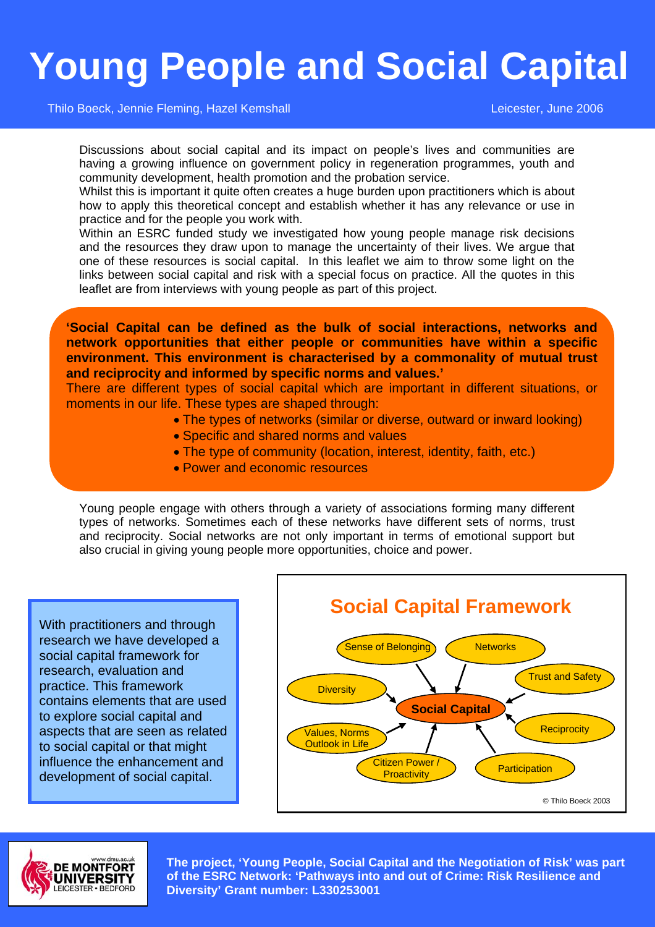## **Young People and Social Capital**

Thilo Boeck, Jennie Fleming, Hazel Kemshall Leicester, June 2006

Discussions about social capital and its impact on people's lives and communities are having a growing influence on government policy in regeneration programmes, youth and community development, health promotion and the probation service.

Whilst this is important it quite often creates a huge burden upon practitioners which is about how to apply this theoretical concept and establish whether it has any relevance or use in practice and for the people you work with.

Within an ESRC funded study we investigated how young people manage risk decisions and the resources they draw upon to manage the uncertainty of their lives. We argue that one of these resources is social capital. In this leaflet we aim to throw some light on the links between social capital and risk with a special focus on practice. All the quotes in this leaflet are from interviews with young people as part of this project.

**'Social Capital can be defined as the bulk of social interactions, networks and network opportunities that either people or communities have within a specific environment. This environment is characterised by a commonality of mutual trust and reciprocity and informed by specific norms and values.'** 

There are different types of social capital which are important in different situations, or moments in our life. These types are shaped through:

- The types of networks (similar or diverse, outward or inward looking)
- Specific and shared norms and values
- The type of community (location, interest, identity, faith, etc.)
- Power and economic resources

Young people engage with others through a variety of associations forming many different types of networks. Sometimes each of these networks have different sets of norms, trust and reciprocity. Social networks are not only important in terms of emotional support but also crucial in giving young people more opportunities, choice and power.

With practitioners and through research we have developed a social capital framework for research, evaluation and practice. This framework contains elements that are used to explore social capital and aspects that are seen as related to social capital or that might influence the enhancement and development of social capital.





**The project, 'Young People, Social Capital and the Negotiation of Risk' was part of the ESRC Network: 'Pathways into and out of Crime: Risk Resilience and Diversity' Grant number: L330253001**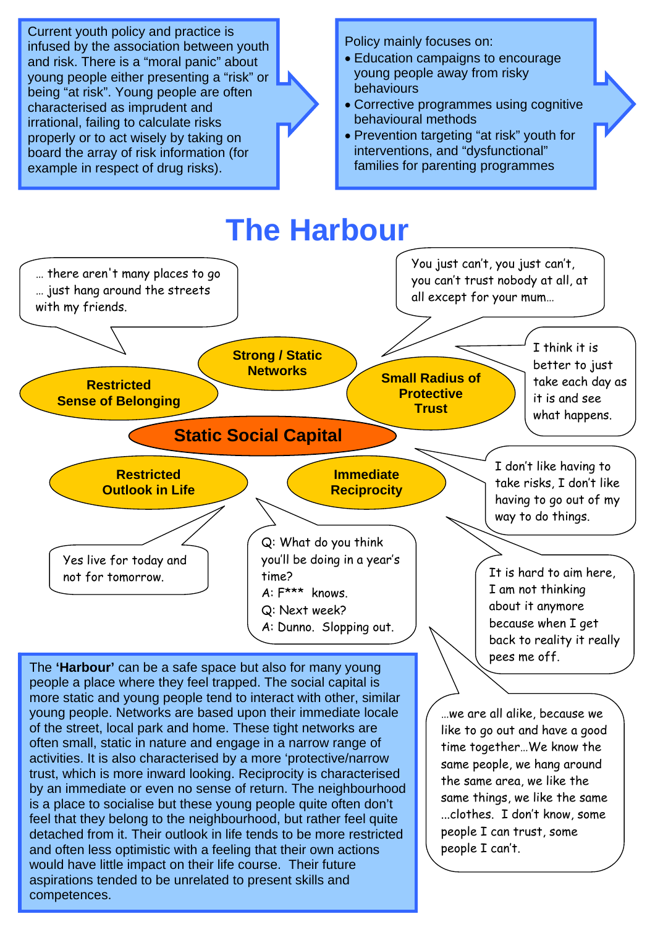Current youth policy and practice is infused by the association between youth and risk. There is a "moral panic" about young people either presenting a "risk" or being "at risk". Young people are often characterised as imprudent and irrational, failing to calculate risks properly or to act wisely by taking on board the array of risk information (for example in respect of drug risks).

Policy mainly focuses on:

- Education campaigns to encourage young people away from risky behaviours
- Corrective programmes using cognitive behavioural methods
- Prevention targeting "at risk" youth for interventions, and "dysfunctional" families for parenting programmes



The **'Harbour'** can be a safe space but also for many young people a place where they feel trapped. The social capital is more static and young people tend to interact with other, similar young people. Networks are based upon their immediate locale of the street, local park and home. These tight networks are often small, static in nature and engage in a narrow range of activities. It is also characterised by a more 'protective/narrow trust, which is more inward looking. Reciprocity is characterised by an immediate or even no sense of return. The neighbourhood is a place to socialise but these young people quite often don't feel that they belong to the neighbourhood, but rather feel quite detached from it. Their outlook in life tends to be more restricted and often less optimistic with a feeling that their own actions would have little impact on their life course. Their future aspirations tended to be unrelated to present skills and competences.

…we are all alike, because we like to go out and have a good time together…We know the same people, we hang around the same area, we like the same things, we like the same

...clothes. I don't know, some

people I can trust, some people I can't.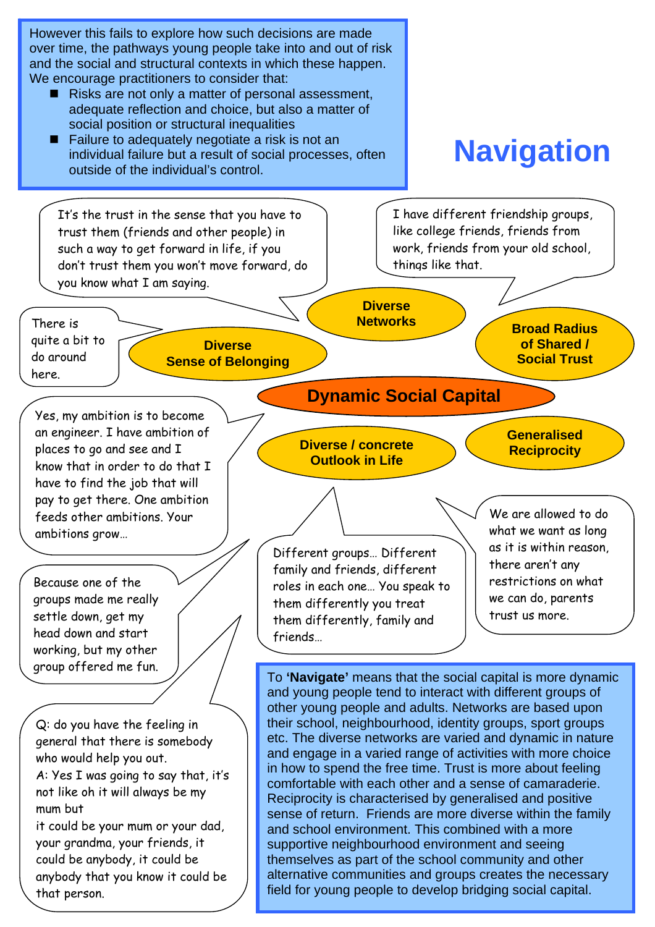